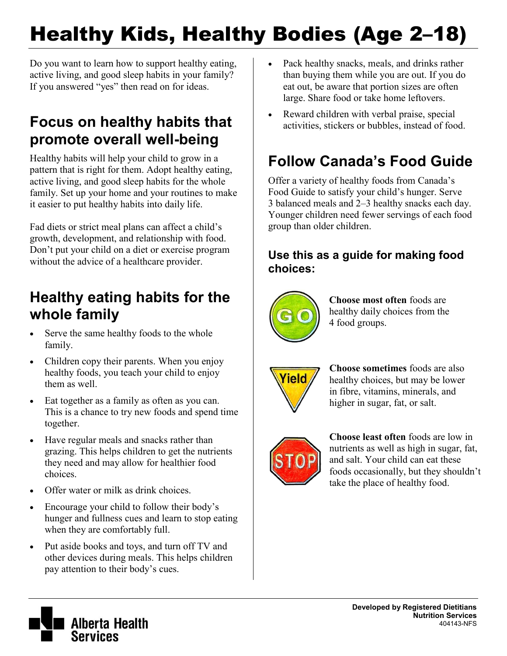# Healthy Kids, Healthy Bodies (Age 2–18)

Do you want to learn how to support healthy eating, active living, and good sleep habits in your family? If you answered "yes" then read on for ideas.

### **Focus on healthy habits that promote overall well-being**

Healthy habits will help your child to grow in a pattern that is right for them. Adopt healthy eating, active living, and good sleep habits for the whole family. Set up your home and your routines to make it easier to put healthy habits into daily life.

Fad diets or strict meal plans can affect a child's growth, development, and relationship with food. Don't put your child on a diet or exercise program without the advice of a healthcare provider.

# **Healthy eating habits for the whole family**

- Serve the same healthy foods to the whole family.
- Children copy their parents. When you enjoy healthy foods, you teach your child to enjoy them as well.
- Eat together as a family as often as you can. This is a chance to try new foods and spend time together.
- Have regular meals and snacks rather than grazing. This helps children to get the nutrients they need and may allow for healthier food choices.
- Offer water or milk as drink choices.
- Encourage your child to follow their body's hunger and fullness cues and learn to stop eating when they are comfortably full.
- Put aside books and toys, and turn off TV and other devices during meals. This helps children pay attention to their body's cues.
- Pack healthy snacks, meals, and drinks rather than buying them while you are out. If you do eat out, be aware that portion sizes are often large. Share food or take home leftovers.
- Reward children with verbal praise, special activities, stickers or bubbles, instead of food.

# **Follow Canada's Food Guide**

Offer a variety of healthy foods from Canada's Food Guide to satisfy your child's hunger. Serve 3 balanced meals and 2–3 healthy snacks each day. Younger children need fewer servings of each food group than older children.

### **Use this as a guide for making food choices:**



**Choose most often** foods are healthy daily choices from the 4 food groups.



**Choose sometimes** foods are also healthy choices, but may be lower in fibre, vitamins, minerals, and higher in sugar, fat, or salt.



**Choose least often** foods are low in nutrients as well as high in sugar, fat, and salt. Your child can eat these foods occasionally, but they shouldn't take the place of healthy food.

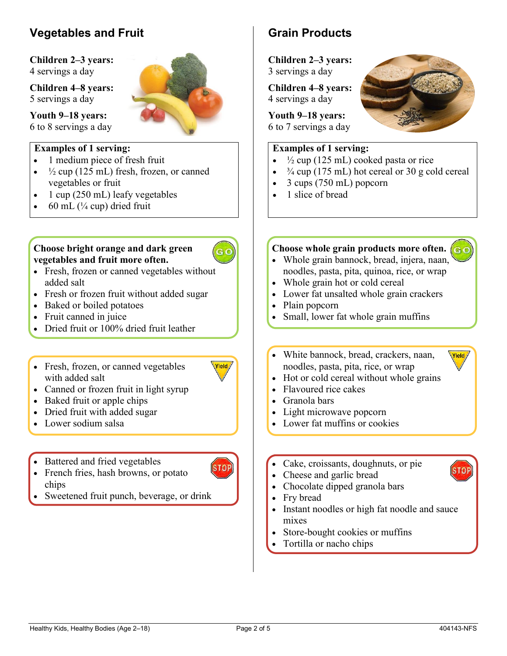### **Vegetables and Fruit**

**Children 2–3 years:**  4 servings a day

**Children 4–8 years:**  5 servings a day

**Youth 9–18 years:**  6 to 8 servings a day

#### **Examples of 1 serving:**

- 1 medium piece of fresh fruit
- $\frac{1}{2}$  cup (125 mL) fresh, frozen, or canned vegetables or fruit
- 1 cup (250 mL) leafy vegetables
- $\bullet$  60 mL ( $\frac{1}{4}$  cup) dried fruit

#### **Choose bright orange and dark green vegetables and fruit more often.**

- 
- Fresh, frozen or canned vegetables without added salt
- Fresh or frozen fruit without added sugar
- Baked or boiled potatoes
- Fruit canned in juice
- Dried fruit or 100% dried fruit leather
- Fresh, frozen, or canned vegetables with added salt



**STOP** 

- Canned or frozen fruit in light syrup
- Baked fruit or apple chips
- Dried fruit with added sugar
- Lower sodium salsa
- Battered and fried vegetables
- French fries, hash browns, or potato chips
- Sweetened fruit punch, beverage, or drink

### **Grain Products**

**Children 2–3 years:**  3 servings a day

**Children 4–8 years:**  4 servings a day

**Youth 9–18 years:**  6 to 7 servings a day

#### **Examples of 1 serving:**

- $\frac{1}{2}$  cup (125 mL) cooked pasta or rice
- $\frac{3}{4}$  cup (175 mL) hot cereal or 30 g cold cereal
- 3 cups (750 mL) popcorn
- 1 slice of bread

#### **Choose whole grain products more often.**

- Whole grain bannock, bread, injera, naan, noodles, pasta, pita, quinoa, rice, or wrap
- Whole grain hot or cold cereal
- Lower fat unsalted whole grain crackers
- Plain popcorn
- Small, lower fat whole grain muffins
- White bannock, bread, crackers, naan, noodles, pasta, pita, rice, or wrap
- Hot or cold cereal without whole grains
- Flavoured rice cakes
- Granola bars
- Light microwave popcorn
- Lower fat muffins or cookies
- Cake, croissants, doughnuts, or pie
- Cheese and garlic bread
- Chocolate dipped granola bars
- Fry bread
- Instant noodles or high fat noodle and sauce mixes
- Store-bought cookies or muffins
- Tortilla or nacho chips



Yield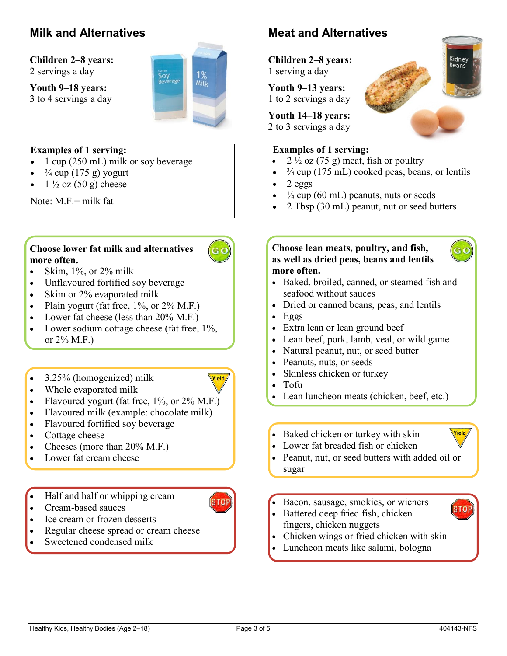### **Milk and Alternatives**

**Children 2–8 years:**  2 servings a day

**Youth 9–18 years:**  3 to 4 servings a day



#### **Examples of 1 serving:**

- $\bullet$  1 cup (250 mL) milk or soy beverage
- $\cdot$   $\frac{3}{4}$  cup (175 g) yogurt
- $1\frac{1}{2}$  oz (50 g) cheese

Note:  $M.F =$  milk fat

#### **Choose lower fat milk and alternatives more often.**

- Skim,  $1\%$ , or  $2\%$  milk
- Unflavoured fortified soy beverage
- Skim or 2% evaporated milk
- Plain yogurt (fat free,  $1\%$ , or  $2\%$  M.F.)
- Lower fat cheese (less than  $20\%$  M.F.)
- Lower sodium cottage cheese (fat free,  $1\%$ , or 2% M.F.)
- 3.25% (homogenized) milk
- Vield
- Whole evaporated milk
- Flavoured yogurt (fat free,  $1\%$ , or  $2\%$  M.F.)
- Flavoured milk (example: chocolate milk)
- Flavoured fortified soy beverage
- Cottage cheese
- Cheeses (more than  $20\%$  M.F.)
- Lower fat cream cheese

• Half and half or whipping cream

- Cream-based sauces
- Ice cream or frozen desserts
- Regular cheese spread or cream cheese
- Sweetened condensed milk

### **Meat and Alternatives**

**Children 2–8 years:**  1 serving a day

**Youth 9–13 years:**  1 to 2 servings a day

**Youth 14–18 years:** 

2 to 3 servings a day

#### **Examples of 1 serving:**

- $2\frac{1}{2}$  oz (75 g) meat, fish or poultry
- $\frac{3}{4}$  cup (175 mL) cooked peas, beans, or lentils
- $\bullet$  2 eggs
- $\frac{1}{4}$  cup (60 mL) peanuts, nuts or seeds
- 2 Tbsp (30 mL) peanut, nut or seed butters

#### **Choose lean meats, poultry, and fish, as well as dried peas, beans and lentils more often.**



Kidney Beans

- Baked, broiled, canned, or steamed fish and seafood without sauces
- Dried or canned beans, peas, and lentils
- $Eggs$
- Extra lean or lean ground beef
- Lean beef, pork, lamb, veal, or wild game
- Natural peanut, nut, or seed butter
- Peanuts, nuts, or seeds
- Skinless chicken or turkey
- Tofu
- Lean luncheon meats (chicken, beef, etc.)
- Baked chicken or turkey with skin
- Lower fat breaded fish or chicken



Vield

STOI

- Peanut, nut, or seed butters with added oil or sugar
- Bacon, sausage, smokies, or wieners
- Battered deep fried fish, chicken fingers, chicken nuggets
- Chicken wings or fried chicken with skin
- Luncheon meats like salami, bologna



**STOP** 

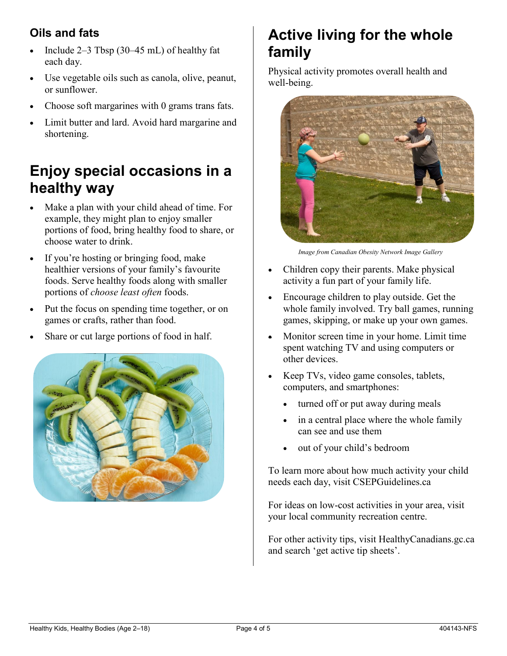### **Oils and fats**

- Include  $2-3$  Tbsp (30–45 mL) of healthy fat each day.
- Use vegetable oils such as canola, olive, peanut, or sunflower.
- Choose soft margarines with 0 grams trans fats.
- Limit butter and lard. Avoid hard margarine and shortening.

# **Enjoy special occasions in a healthy way**

- Make a plan with your child ahead of time. For example, they might plan to enjoy smaller portions of food, bring healthy food to share, or choose water to drink.
- If you're hosting or bringing food, make healthier versions of your family's favourite foods. Serve healthy foods along with smaller portions of *choose least often* foods.
- Put the focus on spending time together, or on games or crafts, rather than food.
- Share or cut large portions of food in half.



# **Active living for the whole family**

Physical activity promotes overall health and well-being.



*Image from Canadian Obesity Network Image Gallery* 

- Children copy their parents. Make physical activity a fun part of your family life.
- Encourage children to play outside. Get the whole family involved. Try ball games, running games, skipping, or make up your own games.
- Monitor screen time in your home. Limit time spent watching TV and using computers or other devices.
- Keep TVs, video game consoles, tablets, computers, and smartphones:
	- turned off or put away during meals
	- in a central place where the whole family can see and use them
	- out of your child's bedroom

To learn more about how much activity your child needs each day, visit CSEPGuidelines.ca

For ideas on low-cost activities in your area, visit your local community recreation centre.

For other activity tips, visit HealthyCanadians.gc.ca and search 'get active tip sheets'.